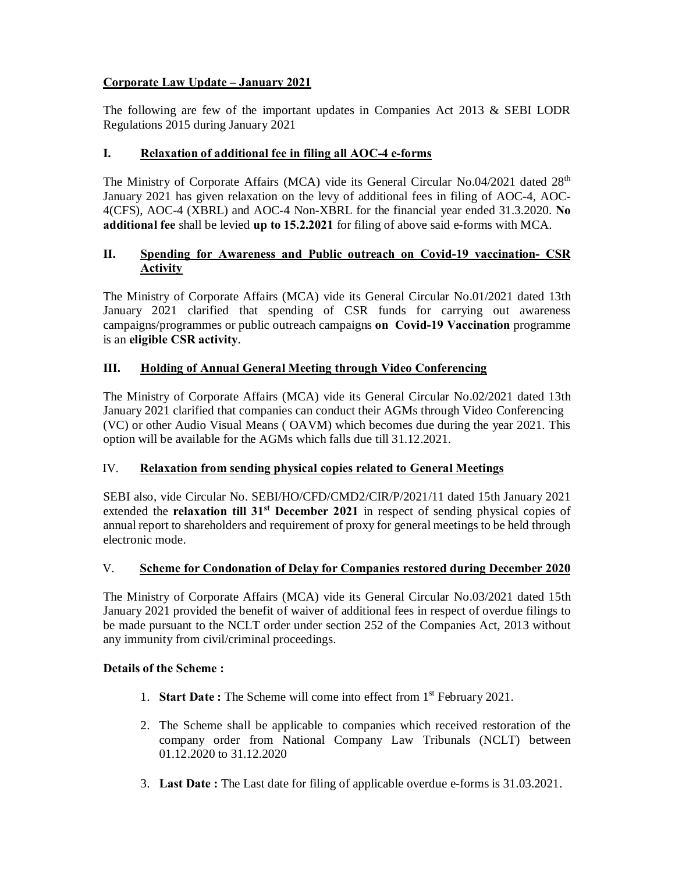# **Corporate Law Update – January 2021**

The following are few of the important updates in Companies Act 2013 & SEBI LODR Regulations 2015 during January 2021

# **I. Relaxation of additional fee in filing all AOC-4 e-forms**

The Ministry of Corporate Affairs (MCA) vide its General Circular No.04/2021 dated 28<sup>th</sup> January 2021 has given relaxation on the levy of additional fees in filing of AOC-4, AOC-4(CFS), AOC-4 (XBRL) and AOC-4 Non-XBRL for the financial year ended 31.3.2020. **No additional fee** shall be levied **up to 15.2.2021** for filing of above said e-forms with MCA.

#### **II. Spending for Awareness and Public outreach on Covid-19 vaccination- CSR Activity**

The Ministry of Corporate Affairs (MCA) vide its General Circular No.01/2021 dated 13th January 2021 clarified that spending of CSR funds for carrying out awareness campaigns/programmes or public outreach campaigns **on Covid-19 Vaccination** programme is an **eligible CSR activity**.

## **III. Holding of Annual General Meeting through Video Conferencing**

The Ministry of Corporate Affairs (MCA) vide its General Circular No.02/2021 dated 13th January 2021 clarified that companies can conduct their AGMs through Video Conferencing (VC) or other Audio Visual Means ( OAVM) which becomes due during the year 2021. This option will be available for the AGMs which falls due till 31.12.2021.

#### IV. **Relaxation from sending physical copies related to General Meetings**

SEBI also, vide Circular No. SEBI/HO/CFD/CMD2/CIR/P/2021/11 dated 15th January 2021 extended the **relaxation till 31<sup>st</sup> December 2021** in respect of sending physical copies of annual report to shareholders and requirement of proxy for general meetings to be held through electronic mode.

#### V. **Scheme for Condonation of Delay for Companies restored during December 2020**

The Ministry of Corporate Affairs (MCA) vide its General Circular No.03/2021 dated 15th January 2021 provided the benefit of waiver of additional fees in respect of overdue filings to be made pursuant to the NCLT order under section 252 of the Companies Act, 2013 without any immunity from civil/criminal proceedings.

#### **Details of the Scheme :**

- 1. **Start Date :** The Scheme will come into effect from 1st February 2021.
- 2. The Scheme shall be applicable to companies which received restoration of the company order from National Company Law Tribunals (NCLT) between 01.12.2020 to 31.12.2020
- 3. **Last Date :** The Last date for filing of applicable overdue e-forms is 31.03.2021.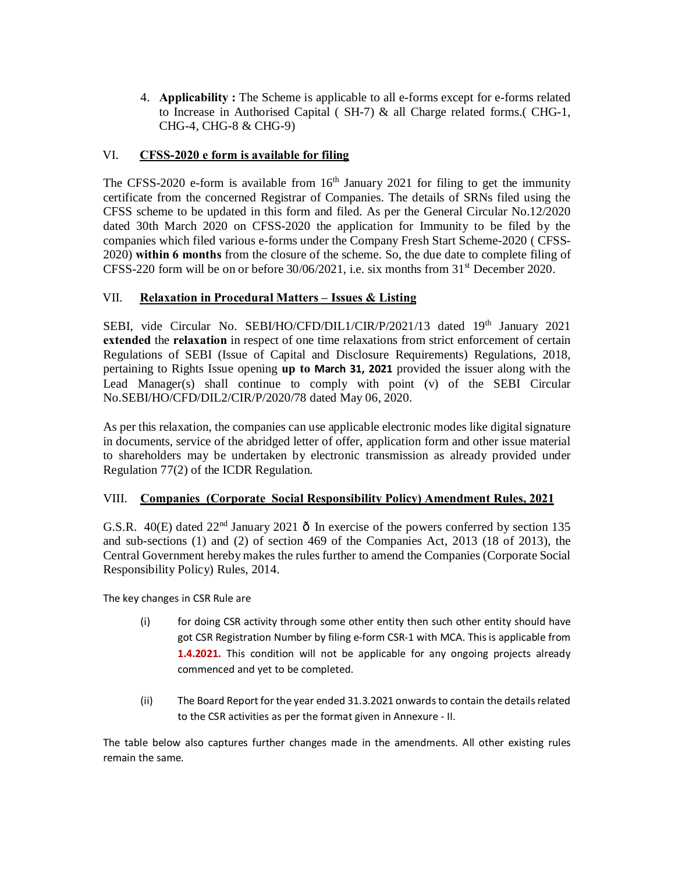4. **Applicability :** The Scheme is applicable to all e-forms except for e-forms related to Increase in Authorised Capital ( SH-7) & all Charge related forms.( CHG-1, CHG-4, CHG-8 & CHG-9)

#### VI. **CFSS-2020 e form is available for filing**

The CFSS-2020 e-form is available from  $16<sup>th</sup>$  January 2021 for filing to get the immunity certificate from the concerned Registrar of Companies. The details of SRNs filed using the CFSS scheme to be updated in this form and filed. As per the General Circular No.12/2020 dated 30th March 2020 on CFSS-2020 the application for Immunity to be filed by the companies which filed various e-forms under the Company Fresh Start Scheme-2020 ( CFSS-2020) **within 6 months** from the closure of the scheme. So, the due date to complete filing of CFSS-220 form will be on or before  $30/06/2021$ , i.e. six months from  $31<sup>st</sup>$  December 2020.

#### VII. **Relaxation in Procedural Matters – Issues & Listing**

SEBI, vide Circular No. SEBI/HO/CFD/DIL1/CIR/P/2021/13 dated 19<sup>th</sup> January 2021 **extended** the **relaxation** in respect of one time relaxations from strict enforcement of certain Regulations of SEBI (Issue of Capital and Disclosure Requirements) Regulations, 2018, pertaining to Rights Issue opening **up to March 31, 2021** provided the issuer along with the Lead Manager(s) shall continue to comply with point (v) of the SEBI Circular No.SEBI/HO/CFD/DIL2/CIR/P/2020/78 dated May 06, 2020.

As per this relaxation, the companies can use applicable electronic modes like digital signature in documents, service of the abridged letter of offer, application form and other issue material to shareholders may be undertaken by electronic transmission as already provided under Regulation 77(2) of the ICDR Regulation.

#### VIII. **Companies (Corporate Social Responsibility Policy) Amendment Rules, 2021**

G.S.R.  $40(E)$  dated  $22<sup>nd</sup>$  January 2021  $\hat{o}$  In exercise of the powers conferred by section 135 and sub-sections (1) and (2) of section 469 of the Companies Act, 2013 (18 of 2013), the Central Government hereby makes the rules further to amend the Companies (Corporate Social Responsibility Policy) Rules, 2014.

The key changes in CSR Rule are

- (i) for doing CSR activity through some other entity then such other entity should have got CSR Registration Number by filing e-form CSR-1 with MCA. This is applicable from **1.4.2021.** This condition will not be applicable for any ongoing projects already commenced and yet to be completed.
- (ii) The Board Report for the year ended 31.3.2021 onwards to contain the details related to the CSR activities as per the format given in Annexure - II.

The table below also captures further changes made in the amendments. All other existing rules remain the same.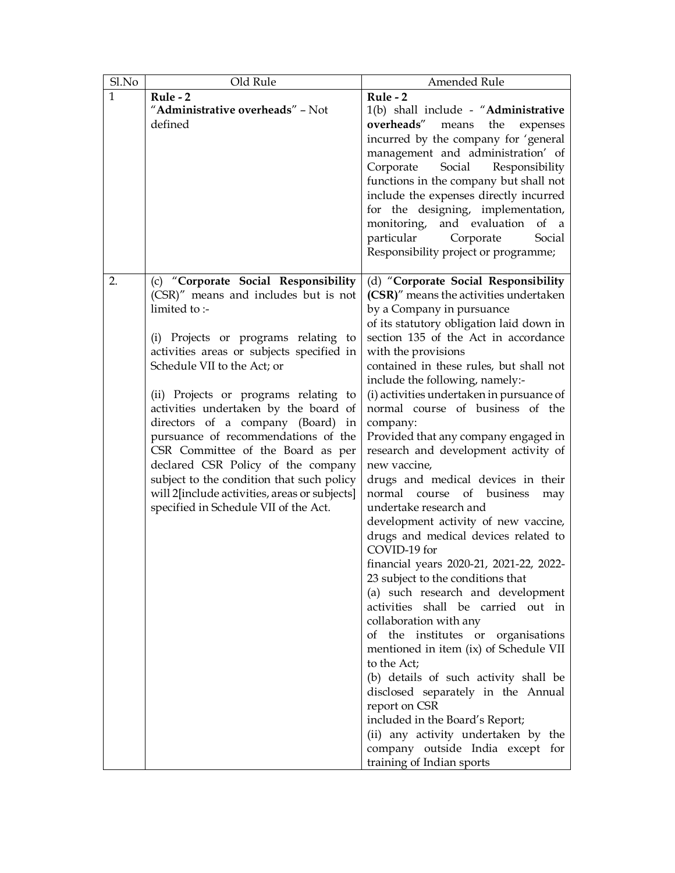| Sl.No        | Old Rule                                                                                                                                                                                                                                                                                                                                                                                                                                                                                                                                                                                          | Amended Rule                                                                                                                                                                                                                                                                                                                                                                                                                                                                                                                                                                                                                                                                                                                                                                                                                                                                                                                                                                                                                                                                                                                                                                                                                               |  |
|--------------|---------------------------------------------------------------------------------------------------------------------------------------------------------------------------------------------------------------------------------------------------------------------------------------------------------------------------------------------------------------------------------------------------------------------------------------------------------------------------------------------------------------------------------------------------------------------------------------------------|--------------------------------------------------------------------------------------------------------------------------------------------------------------------------------------------------------------------------------------------------------------------------------------------------------------------------------------------------------------------------------------------------------------------------------------------------------------------------------------------------------------------------------------------------------------------------------------------------------------------------------------------------------------------------------------------------------------------------------------------------------------------------------------------------------------------------------------------------------------------------------------------------------------------------------------------------------------------------------------------------------------------------------------------------------------------------------------------------------------------------------------------------------------------------------------------------------------------------------------------|--|
| $\mathbf{1}$ | Rule - 2<br>"Administrative overheads" - Not<br>defined                                                                                                                                                                                                                                                                                                                                                                                                                                                                                                                                           | Rule - 2<br>1(b) shall include - "Administrative<br>overheads"<br>the<br>means<br>expenses<br>incurred by the company for 'general<br>management and administration' of<br>Corporate<br>Social<br>Responsibility<br>functions in the company but shall not<br>include the expenses directly incurred<br>for the designing, implementation,<br>monitoring,<br>and evaluation<br>of<br>a<br>particular Corporate<br>Social<br>Responsibility project or programme;                                                                                                                                                                                                                                                                                                                                                                                                                                                                                                                                                                                                                                                                                                                                                                           |  |
| 2.           | (c) "Corporate Social Responsibility<br>(CSR)" means and includes but is not<br>limited to :-<br>(i) Projects or programs relating to<br>activities areas or subjects specified in<br>Schedule VII to the Act; or<br>(ii) Projects or programs relating to<br>activities undertaken by the board of<br>directors of a company (Board) in<br>pursuance of recommendations of the<br>CSR Committee of the Board as per<br>declared CSR Policy of the company<br>subject to the condition that such policy<br>will 2[include activities, areas or subjects]<br>specified in Schedule VII of the Act. | (d) "Corporate Social Responsibility<br>(CSR)" means the activities undertaken<br>by a Company in pursuance<br>of its statutory obligation laid down in<br>section 135 of the Act in accordance<br>with the provisions<br>contained in these rules, but shall not<br>include the following, namely:-<br>(i) activities undertaken in pursuance of<br>normal course of business of the<br>company:<br>Provided that any company engaged in<br>research and development activity of<br>new vaccine,<br>drugs and medical devices in their<br>normal<br>of business<br>course<br>may<br>undertake research and<br>development activity of new vaccine,<br>drugs and medical devices related to<br>COVID-19 for<br>financial years 2020-21, 2021-22, 2022-<br>23 subject to the conditions that<br>(a) such research and development<br>activities shall be carried out in<br>collaboration with any<br>of the institutes or organisations<br>mentioned in item (ix) of Schedule VII<br>to the Act;<br>(b) details of such activity shall be<br>disclosed separately in the Annual<br>report on CSR<br>included in the Board's Report;<br>(ii) any activity undertaken by the<br>company outside India except for<br>training of Indian sports |  |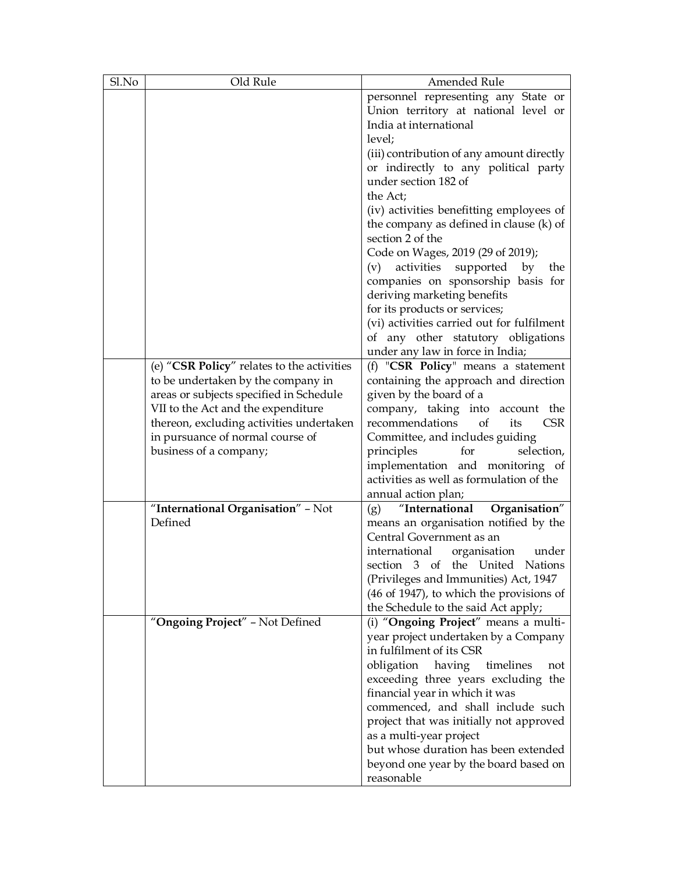| Sl.No | Old Rule                                                                     | Amended Rule                                                                |  |  |
|-------|------------------------------------------------------------------------------|-----------------------------------------------------------------------------|--|--|
|       |                                                                              | personnel representing any State or<br>Union territory at national level or |  |  |
|       |                                                                              | India at international                                                      |  |  |
|       |                                                                              | level;                                                                      |  |  |
|       |                                                                              | (iii) contribution of any amount directly                                   |  |  |
|       |                                                                              | or indirectly to any political party<br>under section 182 of                |  |  |
|       |                                                                              | the Act;                                                                    |  |  |
|       |                                                                              | (iv) activities benefitting employees of                                    |  |  |
|       |                                                                              | the company as defined in clause (k) of                                     |  |  |
|       |                                                                              | section 2 of the                                                            |  |  |
|       |                                                                              | Code on Wages, 2019 (29 of 2019);                                           |  |  |
|       |                                                                              | activities supported by<br>(v)<br>the                                       |  |  |
|       |                                                                              | companies on sponsorship basis for                                          |  |  |
|       |                                                                              | deriving marketing benefits                                                 |  |  |
|       |                                                                              | for its products or services;                                               |  |  |
|       |                                                                              | (vi) activities carried out for fulfilment                                  |  |  |
|       |                                                                              | of any other statutory obligations                                          |  |  |
|       |                                                                              | under any law in force in India;                                            |  |  |
|       | (e) "CSR Policy" relates to the activities                                   | (f) "CSR Policy" means a statement                                          |  |  |
|       | to be undertaken by the company in                                           | containing the approach and direction                                       |  |  |
|       | areas or subjects specified in Schedule                                      | given by the board of a                                                     |  |  |
|       | VII to the Act and the expenditure                                           | company, taking into account the<br>recommendations                         |  |  |
|       | thereon, excluding activities undertaken<br>in pursuance of normal course of | of<br>its<br>CSR <sub>.</sub>                                               |  |  |
|       | business of a company;                                                       | Committee, and includes guiding<br>for<br>principles<br>selection,          |  |  |
|       |                                                                              | implementation and monitoring of                                            |  |  |
|       |                                                                              | activities as well as formulation of the                                    |  |  |
|       |                                                                              | annual action plan;                                                         |  |  |
|       | "International Organisation" - Not                                           | "International Organisation"<br>(g)                                         |  |  |
|       | Defined                                                                      | means an organisation notified by the                                       |  |  |
|       |                                                                              | Central Government as an                                                    |  |  |
|       |                                                                              | international organisation<br>under                                         |  |  |
|       |                                                                              | section 3 of the United Nations                                             |  |  |
|       |                                                                              | (Privileges and Immunities) Act, 1947                                       |  |  |
|       |                                                                              | (46 of 1947), to which the provisions of                                    |  |  |
|       | "Ongoing Project" - Not Defined                                              | the Schedule to the said Act apply;<br>(i) "Ongoing Project" means a multi- |  |  |
|       |                                                                              | year project undertaken by a Company                                        |  |  |
|       |                                                                              | in fulfilment of its CSR                                                    |  |  |
|       |                                                                              | obligation<br>having<br>timelines<br>not                                    |  |  |
|       |                                                                              | exceeding three years excluding the                                         |  |  |
|       |                                                                              | financial year in which it was                                              |  |  |
|       |                                                                              | commenced, and shall include such                                           |  |  |
|       |                                                                              | project that was initially not approved                                     |  |  |
|       |                                                                              | as a multi-year project                                                     |  |  |
|       |                                                                              | but whose duration has been extended                                        |  |  |
|       |                                                                              | beyond one year by the board based on                                       |  |  |
|       |                                                                              | reasonable                                                                  |  |  |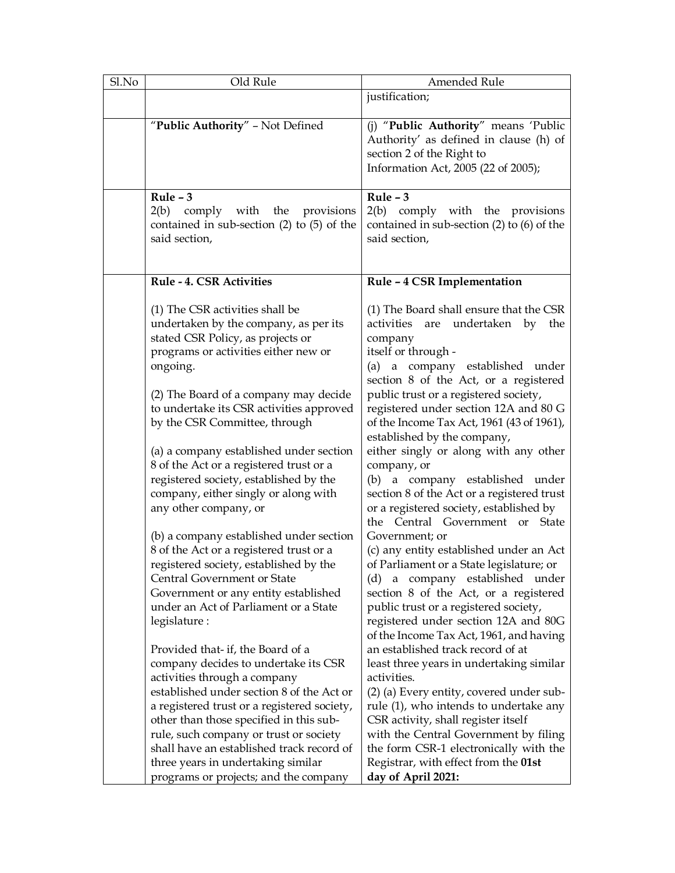| $\overline{S}$ l.No | Old Rule                                       | Amended Rule                                                                    |  |
|---------------------|------------------------------------------------|---------------------------------------------------------------------------------|--|
|                     |                                                | justification;                                                                  |  |
|                     |                                                |                                                                                 |  |
|                     | "Public Authority" - Not Defined               | (j) "Public Authority" means 'Public                                            |  |
|                     |                                                | Authority' as defined in clause (h) of                                          |  |
|                     |                                                | section 2 of the Right to                                                       |  |
|                     |                                                | Information Act, 2005 (22 of 2005);                                             |  |
|                     |                                                |                                                                                 |  |
|                     | Rule $-3$                                      | Rule $-3$                                                                       |  |
|                     | 2(b) comply with the provisions                | 2(b) comply with the provisions                                                 |  |
|                     | contained in sub-section $(2)$ to $(5)$ of the | contained in sub-section (2) to (6) of the                                      |  |
|                     | said section,                                  | said section,                                                                   |  |
|                     |                                                |                                                                                 |  |
|                     |                                                |                                                                                 |  |
|                     | Rule - 4. CSR Activities                       | Rule - 4 CSR Implementation                                                     |  |
|                     | (1) The CSR activities shall be                | (1) The Board shall ensure that the CSR                                         |  |
|                     | undertaken by the company, as per its          | activities are undertaken by the                                                |  |
|                     | stated CSR Policy, as projects or              | company                                                                         |  |
|                     | programs or activities either new or           | itself or through -                                                             |  |
|                     | ongoing.                                       | (a) a company established under                                                 |  |
|                     |                                                | section 8 of the Act, or a registered                                           |  |
|                     | (2) The Board of a company may decide          | public trust or a registered society,                                           |  |
|                     | to undertake its CSR activities approved       | registered under section 12A and 80 G                                           |  |
|                     | by the CSR Committee, through                  | of the Income Tax Act, 1961 (43 of 1961),                                       |  |
|                     |                                                | established by the company,                                                     |  |
|                     | (a) a company established under section        | either singly or along with any other                                           |  |
|                     | 8 of the Act or a registered trust or a        | company, or                                                                     |  |
|                     | registered society, established by the         | (b) a company established under                                                 |  |
|                     | company, either singly or along with           | section 8 of the Act or a registered trust                                      |  |
|                     | any other company, or                          | or a registered society, established by                                         |  |
|                     |                                                | the Central Government or State                                                 |  |
|                     | (b) a company established under section        | Government; or                                                                  |  |
|                     | 8 of the Act or a registered trust or a        | (c) any entity established under an Act                                         |  |
|                     | registered society, established by the         | of Parliament or a State legislature; or                                        |  |
|                     | Central Government or State                    | (d) a company established under                                                 |  |
|                     | Government or any entity established           | section 8 of the Act, or a registered                                           |  |
|                     | under an Act of Parliament or a State          | public trust or a registered society,                                           |  |
|                     | legislature :                                  | registered under section 12A and 80G<br>of the Income Tax Act, 1961, and having |  |
|                     | Provided that- if, the Board of a              | an established track record of at                                               |  |
|                     | company decides to undertake its CSR           | least three years in undertaking similar                                        |  |
|                     | activities through a company                   | activities.                                                                     |  |
|                     | established under section 8 of the Act or      | (2) (a) Every entity, covered under sub-                                        |  |
|                     | a registered trust or a registered society,    | rule (1), who intends to undertake any                                          |  |
|                     | other than those specified in this sub-        | CSR activity, shall register itself                                             |  |
|                     | rule, such company or trust or society         | with the Central Government by filing                                           |  |
|                     | shall have an established track record of      | the form CSR-1 electronically with the                                          |  |
|                     | three years in undertaking similar             | Registrar, with effect from the 01st                                            |  |
|                     | programs or projects; and the company          | day of April 2021:                                                              |  |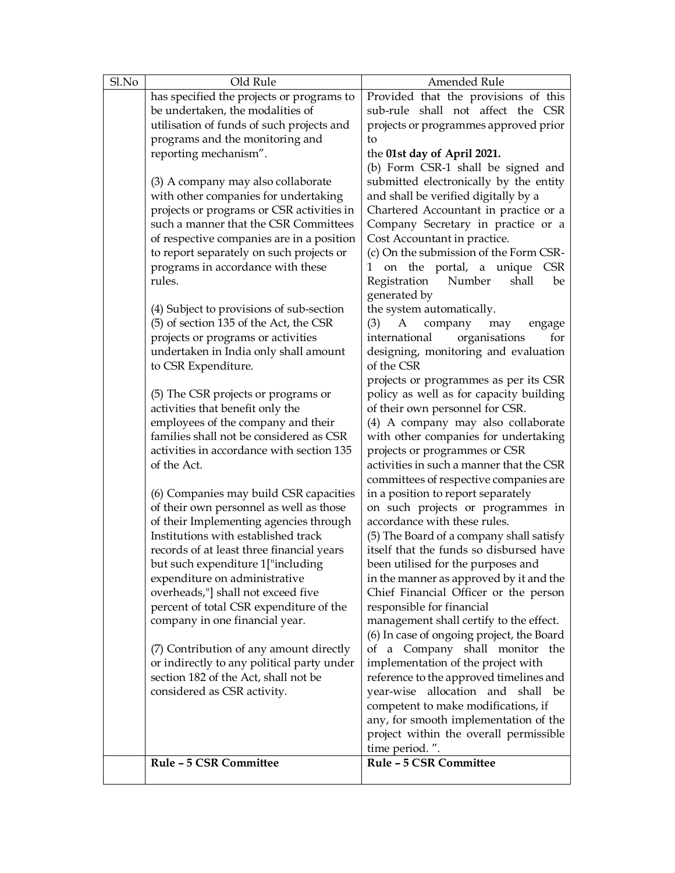| Sl.No | Old Rule                                                               | Amended Rule                                                               |  |  |
|-------|------------------------------------------------------------------------|----------------------------------------------------------------------------|--|--|
|       | has specified the projects or programs to                              | Provided that the provisions of this                                       |  |  |
|       | be undertaken, the modalities of                                       | sub-rule shall not affect the CSR                                          |  |  |
|       | utilisation of funds of such projects and                              | projects or programmes approved prior                                      |  |  |
|       | programs and the monitoring and                                        | to                                                                         |  |  |
|       | reporting mechanism".                                                  | the 01st day of April 2021.                                                |  |  |
|       |                                                                        | (b) Form CSR-1 shall be signed and                                         |  |  |
|       | (3) A company may also collaborate                                     | submitted electronically by the entity                                     |  |  |
|       | with other companies for undertaking                                   | and shall be verified digitally by a                                       |  |  |
|       | projects or programs or CSR activities in                              | Chartered Accountant in practice or a                                      |  |  |
|       | such a manner that the CSR Committees                                  | Company Secretary in practice or a                                         |  |  |
|       | of respective companies are in a position                              | Cost Accountant in practice.                                               |  |  |
|       | to report separately on such projects or                               | (c) On the submission of the Form CSR-                                     |  |  |
|       | programs in accordance with these                                      | on the portal, a unique CSR                                                |  |  |
|       | rules.                                                                 | Number<br>Registration<br>shall<br>be                                      |  |  |
|       |                                                                        | generated by                                                               |  |  |
|       | (4) Subject to provisions of sub-section                               | the system automatically.                                                  |  |  |
|       | (5) of section 135 of the Act, the CSR                                 | A<br>company<br>(3)<br>may<br>engage                                       |  |  |
|       | projects or programs or activities                                     | organisations<br>international<br>for                                      |  |  |
|       | undertaken in India only shall amount                                  | designing, monitoring and evaluation                                       |  |  |
|       | to CSR Expenditure.                                                    | of the CSR                                                                 |  |  |
|       |                                                                        | projects or programmes as per its CSR                                      |  |  |
|       | (5) The CSR projects or programs or                                    | policy as well as for capacity building                                    |  |  |
|       | activities that benefit only the<br>employees of the company and their | of their own personnel for CSR.                                            |  |  |
|       | families shall not be considered as CSR                                | (4) A company may also collaborate<br>with other companies for undertaking |  |  |
|       | activities in accordance with section 135                              | projects or programmes or CSR                                              |  |  |
|       | of the Act.                                                            | activities in such a manner that the CSR                                   |  |  |
|       |                                                                        | committees of respective companies are                                     |  |  |
|       | (6) Companies may build CSR capacities                                 | in a position to report separately                                         |  |  |
|       | of their own personnel as well as those                                | on such projects or programmes in                                          |  |  |
|       | of their Implementing agencies through                                 | accordance with these rules.                                               |  |  |
|       | Institutions with established track                                    | (5) The Board of a company shall satisfy                                   |  |  |
|       | records of at least three financial years                              | itself that the funds so disbursed have                                    |  |  |
|       | but such expenditure 1["including                                      | been utilised for the purposes and                                         |  |  |
|       | expenditure on administrative                                          | in the manner as approved by it and the                                    |  |  |
|       | overheads,"] shall not exceed five                                     | Chief Financial Officer or the person                                      |  |  |
|       | percent of total CSR expenditure of the                                | responsible for financial                                                  |  |  |
|       | company in one financial year.                                         | management shall certify to the effect.                                    |  |  |
|       |                                                                        | (6) In case of ongoing project, the Board                                  |  |  |
|       | (7) Contribution of any amount directly                                | of a Company shall monitor the                                             |  |  |
|       | or indirectly to any political party under                             | implementation of the project with                                         |  |  |
|       | section 182 of the Act, shall not be                                   | reference to the approved timelines and                                    |  |  |
|       | considered as CSR activity.                                            | year-wise allocation and shall be                                          |  |  |
|       |                                                                        | competent to make modifications, if                                        |  |  |
|       |                                                                        | any, for smooth implementation of the                                      |  |  |
|       |                                                                        | project within the overall permissible                                     |  |  |
|       |                                                                        | time period.".                                                             |  |  |
|       | Rule - 5 CSR Committee                                                 | <b>Rule - 5 CSR Committee</b>                                              |  |  |
|       |                                                                        |                                                                            |  |  |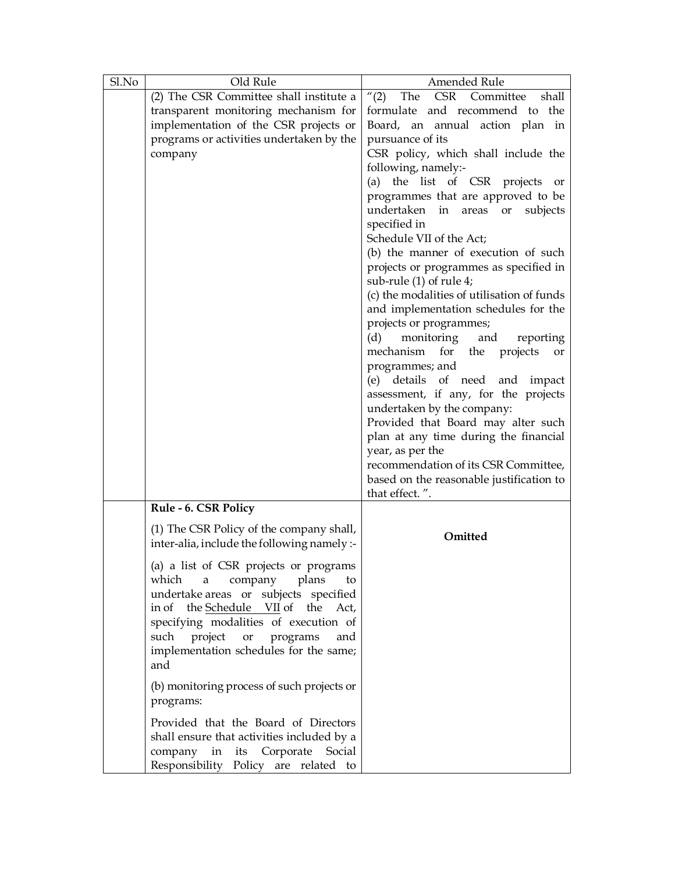| Sl.No | Old Rule                                        | Amended Rule                                                                                                      |  |  |
|-------|-------------------------------------------------|-------------------------------------------------------------------------------------------------------------------|--|--|
|       | (2) The CSR Committee shall institute a         | $''(2)$ The CSR Committee<br>shall                                                                                |  |  |
|       | transparent monitoring mechanism for            | formulate and recommend to the                                                                                    |  |  |
|       | implementation of the CSR projects or           | Board, an annual action plan in<br>pursuance of its<br>CSR policy, which shall include the<br>following, namely:- |  |  |
|       | programs or activities undertaken by the        |                                                                                                                   |  |  |
|       | company                                         |                                                                                                                   |  |  |
|       |                                                 |                                                                                                                   |  |  |
|       |                                                 | (a) the list of CSR projects or                                                                                   |  |  |
|       |                                                 | programmes that are approved to be                                                                                |  |  |
|       |                                                 | undertaken in areas or<br>subjects                                                                                |  |  |
|       |                                                 | specified in                                                                                                      |  |  |
|       |                                                 | Schedule VII of the Act;                                                                                          |  |  |
|       |                                                 | (b) the manner of execution of such                                                                               |  |  |
|       |                                                 | projects or programmes as specified in                                                                            |  |  |
|       |                                                 | sub-rule (1) of rule 4;                                                                                           |  |  |
|       |                                                 | (c) the modalities of utilisation of funds                                                                        |  |  |
|       |                                                 | and implementation schedules for the                                                                              |  |  |
|       |                                                 | projects or programmes;                                                                                           |  |  |
|       |                                                 | monitoring and<br>(d)<br>reporting                                                                                |  |  |
|       |                                                 | mechanism<br>for the<br>projects<br>or                                                                            |  |  |
|       |                                                 | programmes; and                                                                                                   |  |  |
|       |                                                 | details of need and impact<br>(e)                                                                                 |  |  |
|       |                                                 | assessment, if any, for the projects                                                                              |  |  |
|       |                                                 | undertaken by the company:                                                                                        |  |  |
|       |                                                 | Provided that Board may alter such                                                                                |  |  |
|       |                                                 | plan at any time during the financial                                                                             |  |  |
|       |                                                 | year, as per the                                                                                                  |  |  |
|       |                                                 | recommendation of its CSR Committee,                                                                              |  |  |
|       |                                                 | based on the reasonable justification to                                                                          |  |  |
|       |                                                 | that effect.".                                                                                                    |  |  |
|       | Rule - 6. CSR Policy                            |                                                                                                                   |  |  |
|       | (1) The CSR Policy of the company shall,        |                                                                                                                   |  |  |
|       | inter-alia, include the following namely :-     | Omitted                                                                                                           |  |  |
|       |                                                 |                                                                                                                   |  |  |
|       | (a) a list of CSR projects or programs          |                                                                                                                   |  |  |
|       | company plans<br>which<br>a<br>to               |                                                                                                                   |  |  |
|       | undertake areas or subjects specified           |                                                                                                                   |  |  |
|       | in of the Schedule VII of the<br>Act,           |                                                                                                                   |  |  |
|       | specifying modalities of execution of           |                                                                                                                   |  |  |
|       | project<br>such<br>and<br><b>or</b><br>programs |                                                                                                                   |  |  |
|       | implementation schedules for the same;          |                                                                                                                   |  |  |
|       | and                                             |                                                                                                                   |  |  |
|       | (b) monitoring process of such projects or      |                                                                                                                   |  |  |
|       | programs:                                       |                                                                                                                   |  |  |
|       |                                                 |                                                                                                                   |  |  |
|       | Provided that the Board of Directors            |                                                                                                                   |  |  |
|       | shall ensure that activities included by a      |                                                                                                                   |  |  |
|       | company in its Corporate<br>Social              |                                                                                                                   |  |  |
|       | Responsibility Policy are related to            |                                                                                                                   |  |  |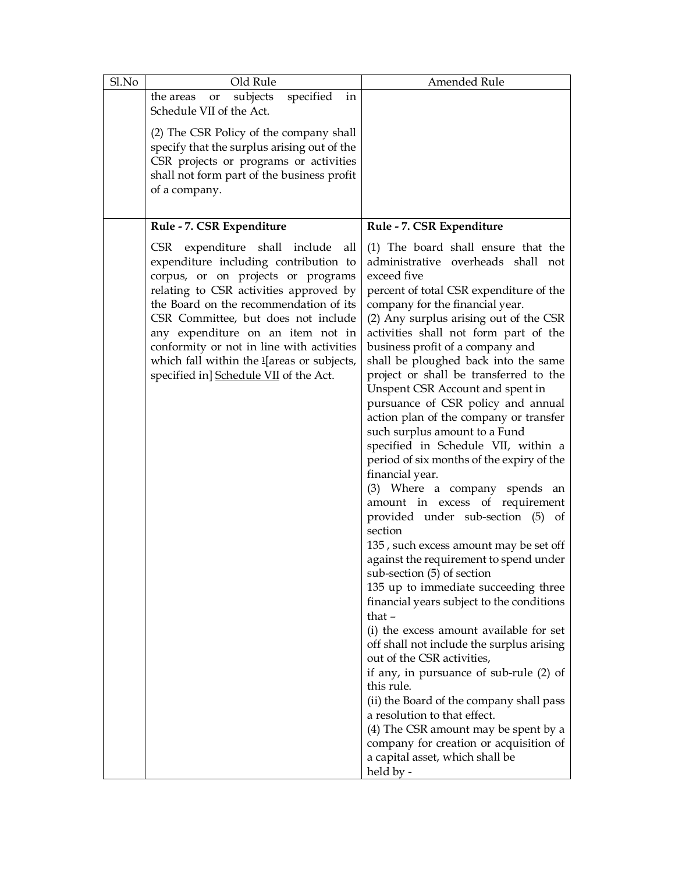| Sl.No | Old Rule                                                                                                                                                                                                                                                                                                                                                                                                                                             | Amended Rule                                                                                                                                                                                                                                                                                                                                                                                                                                                                                                                                                                                                                                                                                                                                                                                                                                                                                                                                                                                                                                                                                                                                                                                                                                                                                                                                                                    |
|-------|------------------------------------------------------------------------------------------------------------------------------------------------------------------------------------------------------------------------------------------------------------------------------------------------------------------------------------------------------------------------------------------------------------------------------------------------------|---------------------------------------------------------------------------------------------------------------------------------------------------------------------------------------------------------------------------------------------------------------------------------------------------------------------------------------------------------------------------------------------------------------------------------------------------------------------------------------------------------------------------------------------------------------------------------------------------------------------------------------------------------------------------------------------------------------------------------------------------------------------------------------------------------------------------------------------------------------------------------------------------------------------------------------------------------------------------------------------------------------------------------------------------------------------------------------------------------------------------------------------------------------------------------------------------------------------------------------------------------------------------------------------------------------------------------------------------------------------------------|
|       | subjects<br>specified<br>the areas<br>in<br>or<br>Schedule VII of the Act.                                                                                                                                                                                                                                                                                                                                                                           |                                                                                                                                                                                                                                                                                                                                                                                                                                                                                                                                                                                                                                                                                                                                                                                                                                                                                                                                                                                                                                                                                                                                                                                                                                                                                                                                                                                 |
|       | (2) The CSR Policy of the company shall<br>specify that the surplus arising out of the<br>CSR projects or programs or activities<br>shall not form part of the business profit<br>of a company.                                                                                                                                                                                                                                                      |                                                                                                                                                                                                                                                                                                                                                                                                                                                                                                                                                                                                                                                                                                                                                                                                                                                                                                                                                                                                                                                                                                                                                                                                                                                                                                                                                                                 |
|       | Rule - 7. CSR Expenditure                                                                                                                                                                                                                                                                                                                                                                                                                            | Rule - 7. CSR Expenditure                                                                                                                                                                                                                                                                                                                                                                                                                                                                                                                                                                                                                                                                                                                                                                                                                                                                                                                                                                                                                                                                                                                                                                                                                                                                                                                                                       |
|       | expenditure shall include<br>CSR <sub>.</sub><br>all<br>expenditure including contribution to<br>corpus, or on projects or programs<br>relating to CSR activities approved by<br>the Board on the recommendation of its<br>CSR Committee, but does not include<br>any expenditure on an item not in<br>conformity or not in line with activities<br>which fall within the <sup>1</sup> [areas or subjects,<br>specified in] Schedule VII of the Act. | (1) The board shall ensure that the<br>administrative overheads shall not<br>exceed five<br>percent of total CSR expenditure of the<br>company for the financial year.<br>(2) Any surplus arising out of the CSR<br>activities shall not form part of the<br>business profit of a company and<br>shall be ploughed back into the same<br>project or shall be transferred to the<br>Unspent CSR Account and spent in<br>pursuance of CSR policy and annual<br>action plan of the company or transfer<br>such surplus amount to a Fund<br>specified in Schedule VII, within a<br>period of six months of the expiry of the<br>financial year.<br>(3) Where a company spends an<br>amount in excess of requirement<br>provided under sub-section (5) of<br>section<br>135, such excess amount may be set off<br>against the requirement to spend under<br>sub-section (5) of section<br>135 up to immediate succeeding three<br>financial years subject to the conditions<br>that $-$<br>(i) the excess amount available for set<br>off shall not include the surplus arising<br>out of the CSR activities,<br>if any, in pursuance of sub-rule (2) of<br>this rule.<br>(ii) the Board of the company shall pass<br>a resolution to that effect.<br>(4) The CSR amount may be spent by a<br>company for creation or acquisition of<br>a capital asset, which shall be<br>held by - |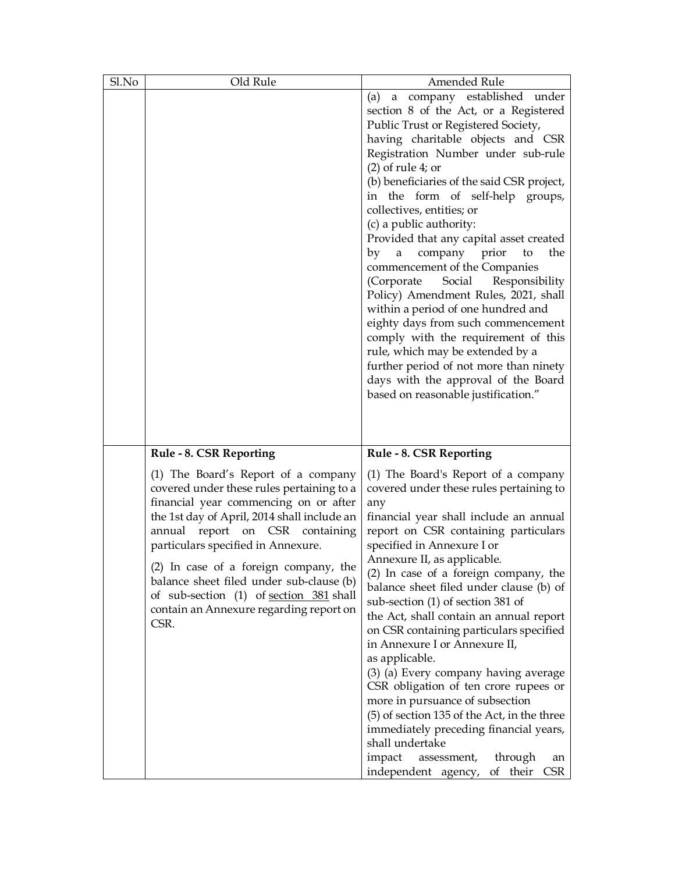| Sl.No | Old Rule                                    | Amended Rule                                                                                                   |  |  |
|-------|---------------------------------------------|----------------------------------------------------------------------------------------------------------------|--|--|
|       |                                             | (a) a company established under                                                                                |  |  |
|       |                                             | section 8 of the Act, or a Registered                                                                          |  |  |
|       |                                             | Public Trust or Registered Society,<br>having charitable objects and CSR<br>Registration Number under sub-rule |  |  |
|       |                                             |                                                                                                                |  |  |
|       |                                             |                                                                                                                |  |  |
|       |                                             | $(2)$ of rule 4; or                                                                                            |  |  |
|       |                                             | (b) beneficiaries of the said CSR project,                                                                     |  |  |
|       |                                             | in the form of self-help groups,                                                                               |  |  |
|       |                                             | collectives, entities; or                                                                                      |  |  |
|       |                                             | (c) a public authority:                                                                                        |  |  |
|       |                                             | Provided that any capital asset created                                                                        |  |  |
|       |                                             | a company prior<br>by<br>to<br>the                                                                             |  |  |
|       |                                             | commencement of the Companies                                                                                  |  |  |
|       |                                             | (Corporate<br>Social<br>Responsibility                                                                         |  |  |
|       |                                             | Policy) Amendment Rules, 2021, shall                                                                           |  |  |
|       |                                             | within a period of one hundred and                                                                             |  |  |
|       |                                             | eighty days from such commencement                                                                             |  |  |
|       |                                             | comply with the requirement of this                                                                            |  |  |
|       |                                             | rule, which may be extended by a                                                                               |  |  |
|       |                                             | further period of not more than ninety                                                                         |  |  |
|       |                                             | days with the approval of the Board                                                                            |  |  |
|       |                                             | based on reasonable justification."                                                                            |  |  |
|       |                                             |                                                                                                                |  |  |
|       |                                             |                                                                                                                |  |  |
|       |                                             |                                                                                                                |  |  |
|       | Rule - 8. CSR Reporting                     | <b>Rule - 8. CSR Reporting</b>                                                                                 |  |  |
|       | (1) The Board's Report of a company         | (1) The Board's Report of a company                                                                            |  |  |
|       | covered under these rules pertaining to a   | covered under these rules pertaining to                                                                        |  |  |
|       | financial year commencing on or after       | any                                                                                                            |  |  |
|       | the 1st day of April, 2014 shall include an | financial year shall include an annual                                                                         |  |  |
|       | annual report on CSR containing             | report on CSR containing particulars                                                                           |  |  |
|       | particulars specified in Annexure.          | specified in Annexure I or                                                                                     |  |  |
|       |                                             | Annexure II, as applicable.                                                                                    |  |  |
|       | (2) In case of a foreign company, the       | (2) In case of a foreign company, the                                                                          |  |  |
|       | balance sheet filed under sub-clause (b)    | balance sheet filed under clause (b) of                                                                        |  |  |
|       | of sub-section (1) of section 381 shall     | sub-section (1) of section 381 of                                                                              |  |  |
|       | contain an Annexure regarding report on     | the Act, shall contain an annual report                                                                        |  |  |
|       | CSR.                                        | on CSR containing particulars specified                                                                        |  |  |
|       |                                             | in Annexure I or Annexure II,                                                                                  |  |  |
|       |                                             | as applicable.                                                                                                 |  |  |
|       |                                             | (3) (a) Every company having average                                                                           |  |  |
|       |                                             | CSR obligation of ten crore rupees or                                                                          |  |  |
|       |                                             | more in pursuance of subsection                                                                                |  |  |
|       |                                             | (5) of section 135 of the Act, in the three                                                                    |  |  |
|       |                                             | immediately preceding financial years,                                                                         |  |  |
|       |                                             | shall undertake                                                                                                |  |  |
|       |                                             | impact<br>assessment,<br>through<br>an                                                                         |  |  |
|       |                                             | independent agency,<br><b>CSR</b><br>of their                                                                  |  |  |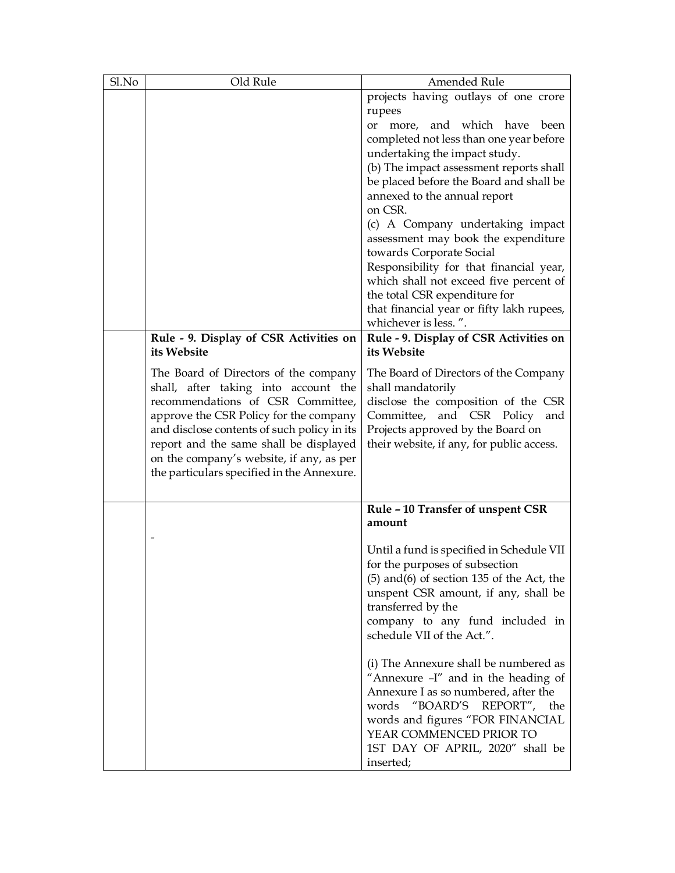| Sl.No | Old Rule                                    | Amended Rule                                                  |  |  |
|-------|---------------------------------------------|---------------------------------------------------------------|--|--|
|       |                                             | projects having outlays of one crore                          |  |  |
|       |                                             | rupees                                                        |  |  |
|       |                                             | or more, and which have been                                  |  |  |
|       |                                             | completed not less than one year before                       |  |  |
|       |                                             | undertaking the impact study.                                 |  |  |
|       |                                             | (b) The impact assessment reports shall                       |  |  |
|       |                                             | be placed before the Board and shall be                       |  |  |
|       |                                             | annexed to the annual report                                  |  |  |
|       |                                             | on CSR.                                                       |  |  |
|       |                                             | (c) A Company undertaking impact                              |  |  |
|       |                                             | assessment may book the expenditure                           |  |  |
|       |                                             | towards Corporate Social                                      |  |  |
|       |                                             | Responsibility for that financial year,                       |  |  |
|       |                                             | which shall not exceed five percent of                        |  |  |
|       |                                             | the total CSR expenditure for                                 |  |  |
|       |                                             | that financial year or fifty lakh rupees,                     |  |  |
|       |                                             | whichever is less.".                                          |  |  |
|       | Rule - 9. Display of CSR Activities on      | Rule - 9. Display of CSR Activities on                        |  |  |
|       | its Website                                 | its Website                                                   |  |  |
|       | The Board of Directors of the company       | The Board of Directors of the Company                         |  |  |
|       | shall, after taking into account the        | shall mandatorily                                             |  |  |
|       | recommendations of CSR Committee,           | disclose the composition of the CSR                           |  |  |
|       | approve the CSR Policy for the company      | Committee,<br>and CSR Policy<br>and                           |  |  |
|       | and disclose contents of such policy in its | Projects approved by the Board on                             |  |  |
|       | report and the same shall be displayed      | their website, if any, for public access.                     |  |  |
|       | on the company's website, if any, as per    |                                                               |  |  |
|       | the particulars specified in the Annexure.  |                                                               |  |  |
|       |                                             |                                                               |  |  |
|       |                                             |                                                               |  |  |
|       |                                             | Rule - 10 Transfer of unspent CSR                             |  |  |
|       |                                             | amount                                                        |  |  |
|       |                                             | Until a fund is specified in Schedule VII                     |  |  |
|       |                                             | for the purposes of subsection                                |  |  |
|       |                                             | $(5)$ and $(6)$ of section 135 of the Act, the                |  |  |
|       |                                             |                                                               |  |  |
|       |                                             | unspent CSR amount, if any, shall be<br>transferred by the    |  |  |
|       |                                             |                                                               |  |  |
|       |                                             | company to any fund included in<br>schedule VII of the Act.". |  |  |
|       |                                             |                                                               |  |  |
|       |                                             | (i) The Annexure shall be numbered as                         |  |  |
|       |                                             | "Annexure -I" and in the heading of                           |  |  |
|       |                                             | Annexure I as so numbered, after the                          |  |  |
|       |                                             | "BOARD'S REPORT", the<br>words                                |  |  |
|       |                                             | words and figures "FOR FINANCIAL                              |  |  |
|       |                                             | YEAR COMMENCED PRIOR TO                                       |  |  |
|       |                                             | 1ST DAY OF APRIL, 2020" shall be                              |  |  |
|       |                                             | inserted;                                                     |  |  |
|       |                                             |                                                               |  |  |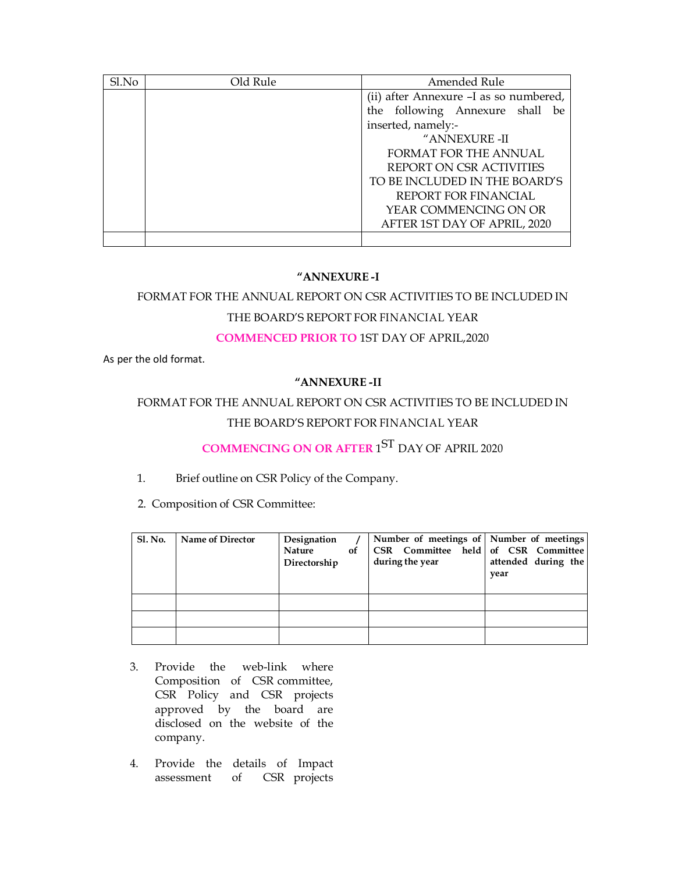| Sl.No | Old Rule | Amended Rule                           |  |  |  |
|-------|----------|----------------------------------------|--|--|--|
|       |          | (ii) after Annexure -I as so numbered, |  |  |  |
|       |          | the following Annexure shall be        |  |  |  |
|       |          | inserted, namely:-                     |  |  |  |
|       |          | "ANNEXURE -II                          |  |  |  |
|       |          | <b>FORMAT FOR THE ANNUAL</b>           |  |  |  |
|       |          | REPORT ON CSR ACTIVITIES               |  |  |  |
|       |          | TO BE INCLUDED IN THE BOARD'S          |  |  |  |
|       |          | REPORT FOR FINANCIAL                   |  |  |  |
|       |          | YEAR COMMENCING ON OR                  |  |  |  |
|       |          | AFTER 1ST DAY OF APRIL, 2020           |  |  |  |
|       |          |                                        |  |  |  |

#### **"ANNEXURE -I**

# FORMAT FOR THE ANNUAL REPORT ON CSR ACTIVITIES TO BE INCLUDED IN THE BOARD'S REPORT FOR FINANCIAL YEAR

#### **COMMENCED PRIOR TO** 1ST DAY OF APRIL,2020

As per the old format.

### **"ANNEXURE -II**

# FORMAT FOR THE ANNUAL REPORT ON CSR ACTIVITIES TO BE INCLUDED IN THE BOARD'S REPORT FOR FINANCIAL YEAR

**COMMENCING ON OR AFTER** 1ST DAY OF APRIL <sup>2020</sup>

1. Brief outline on CSR Policy of the Company.

2. Composition of CSR Committee:

| <b>Sl. No.</b> | Name of Director | Designation<br>Nature<br><b>of</b><br>Directorship | Number of meetings of Number of meetings<br>CSR Committee held of CSR Committee<br>during the year | attended during the<br>year |
|----------------|------------------|----------------------------------------------------|----------------------------------------------------------------------------------------------------|-----------------------------|
|                |                  |                                                    |                                                                                                    |                             |
|                |                  |                                                    |                                                                                                    |                             |
|                |                  |                                                    |                                                                                                    |                             |

- 3. Provide the web-link where Composition of CSR committee, CSR Policy and CSR projects approved by the board are disclosed on the website of the company.
- 4. Provide the details of Impact assessment of CSR projects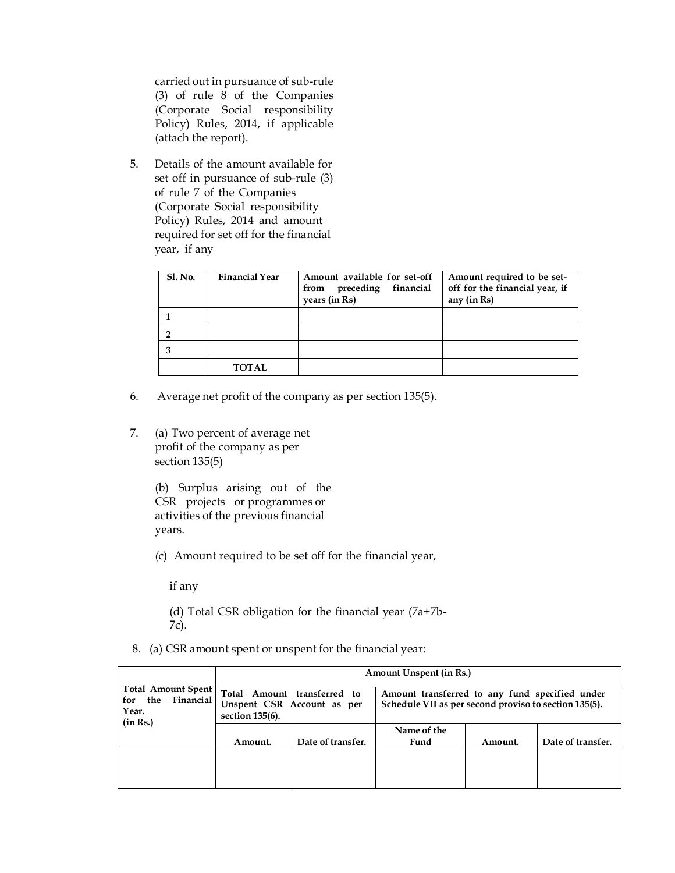carried out in pursuance of sub-rule (3) of rule 8 of the Companies (Corporate Social responsibility Policy) Rules, 2014, if applicable (attach the report).

5. Details of the amount available for set off in pursuance of sub-rule (3) of rule 7 of the Companies (Corporate Social responsibility Policy) Rules, 2014 and amount required for set off for the financial year, if any

| <b>Sl. No.</b> | <b>Financial Year</b> | Amount available for set-off<br>preceding financial<br>from<br>years (in Rs) | Amount required to be set-<br>off for the financial year, if<br>any (in Rs) |
|----------------|-----------------------|------------------------------------------------------------------------------|-----------------------------------------------------------------------------|
|                |                       |                                                                              |                                                                             |
|                |                       |                                                                              |                                                                             |
|                |                       |                                                                              |                                                                             |
|                | <b>TOTAL</b>          |                                                                              |                                                                             |

- 6. Average net profit of the company as per section 135(5).
- 7. (a) Two percent of average net profit of the company as per section 135(5)

(b) Surplus arising out of the CSR projects or programmes or activities of the previous financial years.

*(*c) Amount required to be set off for the financial year,

if any

(d) Total CSR obligation for the financial year (7a+7b-7c).

8. (a) CSR amount spent or unspent for the financial year:

|                                                                 | Amount Unspent (in Rs.)                                                      |                   |                                                                                                         |         |                   |
|-----------------------------------------------------------------|------------------------------------------------------------------------------|-------------------|---------------------------------------------------------------------------------------------------------|---------|-------------------|
| Total Amount Spent<br>the Financial<br>for<br>Year.<br>(in Rs.) | Total Amount transferred to<br>Unspent CSR Account as per<br>section 135(6). |                   | Amount transferred to any fund specified under<br>Schedule VII as per second proviso to section 135(5). |         |                   |
|                                                                 |                                                                              |                   | Name of the                                                                                             |         |                   |
|                                                                 | Amount.                                                                      | Date of transfer. | Fund                                                                                                    | Amount. | Date of transfer. |
|                                                                 |                                                                              |                   |                                                                                                         |         |                   |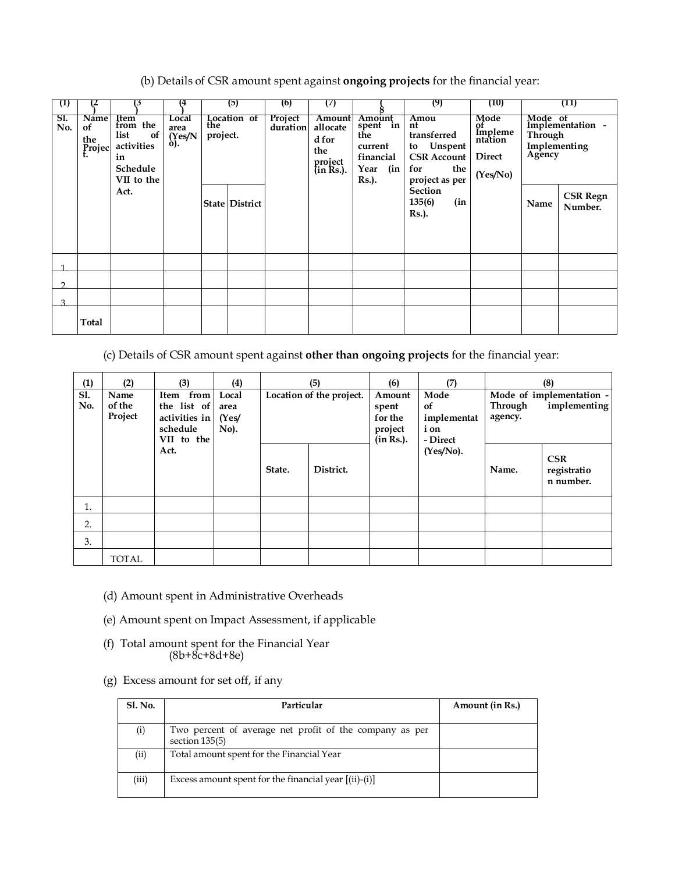(b) Details of CSR amount spent against **ongoing projects** for the financial year:

| $\mathbf{I}$ |                                                 | J.                                                                           | 14.                      |                                | (5)                   | (6)                                                               | U)                                                               |              | (9)                                       | (10) |                                  | (T1)                                                      |                                                        |                                          |                             |
|--------------|-------------------------------------------------|------------------------------------------------------------------------------|--------------------------|--------------------------------|-----------------------|-------------------------------------------------------------------|------------------------------------------------------------------|--------------|-------------------------------------------|------|----------------------------------|-----------------------------------------------------------|--------------------------------------------------------|------------------------------------------|-----------------------------|
| SI.<br>No.   | <b>Name</b><br>of<br>the<br>Projec <sup>1</sup> | Item<br>from the<br>list<br>of<br>activities<br>in<br>Schedule<br>VII to the | Local<br>area<br>(Xes/N) | Location of<br>the<br>project. | Project<br>duration   | <b>Amount</b><br>allocate<br>d for<br>the<br>project<br>(in Rs.). | Amount<br>spent in<br>the<br>current<br>financial<br>Year<br>(in | <b>Rs.).</b> |                                           |      | Amou<br>nt<br>transferred<br>for | to Unspent<br><b>CSR Account</b><br>the<br>project as per | Mode<br>of<br>Impleme<br>ntation<br>Direct<br>(Yes/No) | Through<br><b>Implementing</b><br>Agency | Mode of<br>Implementation - |
|              |                                                 | Act.                                                                         |                          |                                | <b>State District</b> |                                                                   |                                                                  |              | Section<br>135(6)<br>(in<br><b>Rs.</b> ). |      | Name                             | <b>CSR Regn</b><br>Number.                                |                                                        |                                          |                             |
|              |                                                 |                                                                              |                          |                                |                       |                                                                   |                                                                  |              |                                           |      |                                  |                                                           |                                                        |                                          |                             |
| ◠            |                                                 |                                                                              |                          |                                |                       |                                                                   |                                                                  |              |                                           |      |                                  |                                                           |                                                        |                                          |                             |
| κ            |                                                 |                                                                              |                          |                                |                       |                                                                   |                                                                  |              |                                           |      |                                  |                                                           |                                                        |                                          |                             |
|              | Total                                           |                                                                              |                          |                                |                       |                                                                   |                                                                  |              |                                           |      |                                  |                                                           |                                                        |                                          |                             |

(c) Details of CSR amount spent against **other than ongoing projects** for the financial year:

| (1)               | (2)                       | (3)                                                                 | (4)                            | (5)                      |           | (6)                                                | (7)                                           | (8)                                                            |                                        |
|-------------------|---------------------------|---------------------------------------------------------------------|--------------------------------|--------------------------|-----------|----------------------------------------------------|-----------------------------------------------|----------------------------------------------------------------|----------------------------------------|
| <b>S1.</b><br>No. | Name<br>of the<br>Project | Item from<br>the list of<br>activities in<br>schedule<br>VII to the | Local<br>area<br>(Yes/<br>No). | Location of the project. |           | Amount<br>spent<br>for the<br>project<br>(in Rs.). | Mode<br>0f<br>implementat<br>i on<br>- Direct | Mode of implementation -<br>implementing<br>Through<br>agency. |                                        |
|                   |                           | Act.                                                                |                                | State.                   | District. |                                                    | (Yes/No).                                     | Name.                                                          | <b>CSR</b><br>registratio<br>n number. |
| 1.                |                           |                                                                     |                                |                          |           |                                                    |                                               |                                                                |                                        |
| 2.                |                           |                                                                     |                                |                          |           |                                                    |                                               |                                                                |                                        |
| 3.                |                           |                                                                     |                                |                          |           |                                                    |                                               |                                                                |                                        |
|                   | TOTAL                     |                                                                     |                                |                          |           |                                                    |                                               |                                                                |                                        |

- (d) Amount spent in Administrative Overheads
- (e) Amount spent on Impact Assessment, if applicable
- (f) Total amount spent for the Financial Year (8b+8c+8d+8e)
- (g) Excess amount for set off, if any

| <b>Sl. No.</b> | Particular                                                                | Amount (in Rs.) |
|----------------|---------------------------------------------------------------------------|-----------------|
|                |                                                                           |                 |
| (i)            | Two percent of average net profit of the company as per<br>section 135(5) |                 |
| (ii)           | Total amount spent for the Financial Year                                 |                 |
| (iii)          | Excess amount spent for the financial year $[(ii)-(i)]$                   |                 |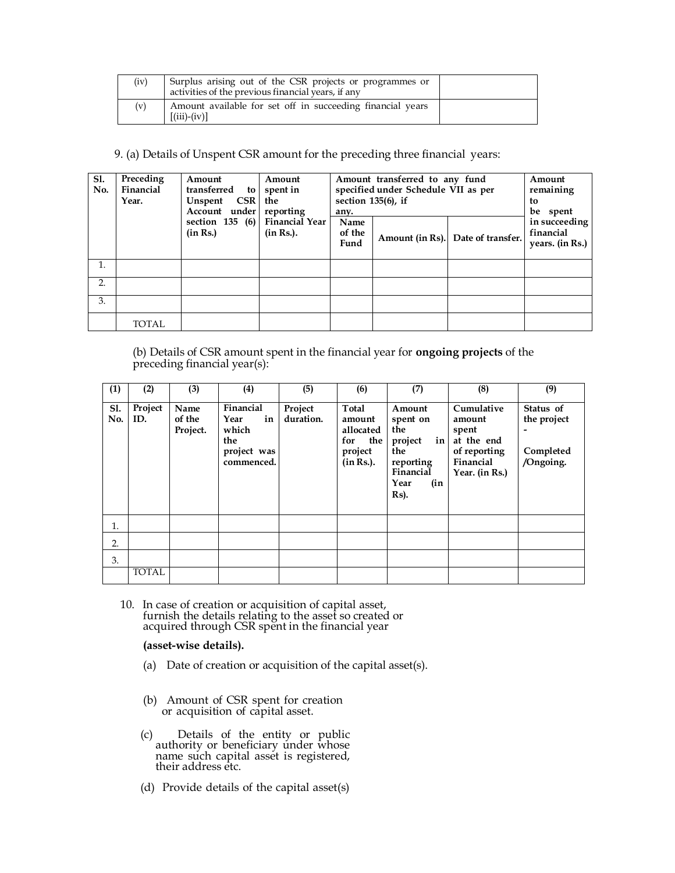| (iv) | Surplus arising out of the CSR projects or programmes or<br>activities of the previous financial years, if any |  |
|------|----------------------------------------------------------------------------------------------------------------|--|
| (v)  | Amount available for set off in succeeding financial years<br>$[(iii)-(iv)]$                                   |  |

9. (a) Details of Unspent CSR amount for the preceding three financial years:

| <b>S1.</b><br>No. | Preceding<br>Financial<br>Year. | Amount<br>transferred<br>to<br><b>CSR</b> I<br>Unspent<br>Account under | Amount<br>spent in<br>the<br>reporting<br>section 135 (6) Financial Year<br>(in Rs.). | Amount transferred to any fund<br>specified under Schedule VII as per<br>section $135(6)$ , if<br>any. | Amount<br>remaining<br>to<br>be spent |                                               |
|-------------------|---------------------------------|-------------------------------------------------------------------------|---------------------------------------------------------------------------------------|--------------------------------------------------------------------------------------------------------|---------------------------------------|-----------------------------------------------|
|                   |                                 | (in Rs.)                                                                |                                                                                       | Name<br>of the<br>Fund                                                                                 | Amount (in Rs). Date of transfer.     | in succeeding<br>financial<br>years. (in Rs.) |
| 1.                |                                 |                                                                         |                                                                                       |                                                                                                        |                                       |                                               |
| 2.                |                                 |                                                                         |                                                                                       |                                                                                                        |                                       |                                               |
| 3.                |                                 |                                                                         |                                                                                       |                                                                                                        |                                       |                                               |
|                   | <b>TOTAL</b>                    |                                                                         |                                                                                       |                                                                                                        |                                       |                                               |

(b) Details of CSR amount spent in the financial year for **ongoing projects** of the preceding financial year(s):

| (1)               | (2)            | (3)                        | (4)                                                                  | (5)                  | (6)                                                                | (7)                                                                                                | (8)                                                                                        | (9)                                                |
|-------------------|----------------|----------------------------|----------------------------------------------------------------------|----------------------|--------------------------------------------------------------------|----------------------------------------------------------------------------------------------------|--------------------------------------------------------------------------------------------|----------------------------------------------------|
| <b>S1.</b><br>No. | Project<br>ID. | Name<br>of the<br>Project. | Financial<br>in<br>Year<br>which<br>the<br>project was<br>commenced. | Project<br>duration. | Total<br>amount<br>allocated<br>for<br>the<br>project<br>(in Rs.). | Amount<br>spent on<br>the<br>project<br>in<br>the<br>reporting<br>Financial<br>Year<br>(in<br>Rs). | Cumulative<br>amount<br>spent<br>at the end<br>of reporting<br>Financial<br>Year. (in Rs.) | Status of<br>the project<br>Completed<br>/Ongoing. |
| 1.                |                |                            |                                                                      |                      |                                                                    |                                                                                                    |                                                                                            |                                                    |
| 2.                |                |                            |                                                                      |                      |                                                                    |                                                                                                    |                                                                                            |                                                    |
| 3.                |                |                            |                                                                      |                      |                                                                    |                                                                                                    |                                                                                            |                                                    |
|                   | <b>TOTAL</b>   |                            |                                                                      |                      |                                                                    |                                                                                                    |                                                                                            |                                                    |

10. In case of creation or acquisition of capital asset, furnish the details relating to the asset so created or acquired through CSR spent in the financial year

#### **(asset-wise details).**

- (a) Date of creation or acquisition of the capital asset(s).
- (b) Amount of CSR spent for creation or acquisition of capital asset.
- (c) Details of the entity or public authority or beneficiary under whose name such capital asset is registered, their address etc.
- (d) Provide details of the capital asset(s)